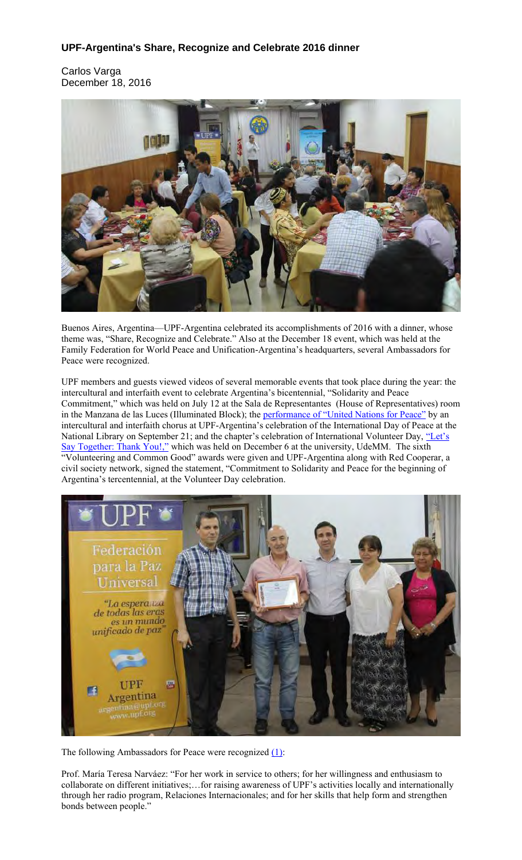## **UPF-Argentina's Share, Recognize and Celebrate 2016 dinner**

Carlos Varga December 18, 2016



Buenos Aires, Argentina—UPF-Argentina celebrated its accomplishments of 2016 with a dinner, whose theme was, "Share, Recognize and Celebrate." Also at the December 18 event, which was held at the Family Federation for World Peace and Unification-Argentina's headquarters, several Ambassadors for Peace were recognized.

UPF members and guests viewed videos of several memorable events that took place during the year: the intercultural and interfaith event to celebrate Argentina's bicentennial, "Solidarity and Peace Commitment," which was held on July 12 at the Sala de Representantes (House of Representatives) room in the Manzana de las Luces (Illuminated Block); the performance of "United Nations for Peace" by an intercultural and interfaith chorus at UPF-Argentina's celebration of the International Day of Peace at the National Library on September 21; and the chapter's celebration of International Volunteer Day, "Let's Say Together: Thank You!," which was held on December 6 at the university, UdeMM. The sixth "Volunteering and Common Good" awards were given and UPF-Argentina along with Red Cooperar, a civil society network, signed the statement, "Commitment to Solidarity and Peace for the beginning of Argentina's tercentennial, at the Volunteer Day celebration.



The following Ambassadors for Peace were recognized (1):

Prof. María Teresa Narváez: "For her work in service to others; for her willingness and enthusiasm to collaborate on different initiatives;…for raising awareness of UPF's activities locally and internationally through her radio program, Relaciones Internacionales; and for her skills that help form and strengthen bonds between people."